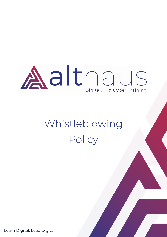# Aalthaus Digital, IT & Cyber Training

## Whistleblowing Policy

Learn Digital. Lead Digital.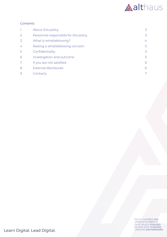

### Contents

|                | About this policy                    | 3  |
|----------------|--------------------------------------|----|
| $\overline{2}$ | Personnel responsible for the policy | 3  |
| 3              | What is whistleblowing?              | 4  |
| 4              | Raising a whistleblowing concern     | 5  |
| 5              | Confidentiality                      | 5. |
| 6              | Investigation and outcome            | 5  |
| 7              | If you are not satisfied             | 6  |
| 8              | <b>External disclosures</b>          | 6  |
| $\Theta$       | Contacts                             |    |

POLICY NUMBER: 2.8.2 VERSION NUMBER: V1 DATE ISSUED: 01.06.2022 REVIEW DATE: 01.06.2022

Learn Digital. Lead Digital.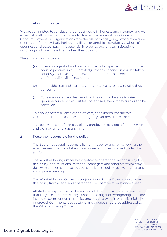

#### <span id="page-2-0"></span>1 About this policy

We are committed to conducting our business with honesty and integrity, and we expect all staff to maintain high standards in accordance with our Code of Conduct. However, all organisations face the risk of things going wrong from time to time, or of unknowingly harbouring illegal or unethical conduct. A culture of openness and accountability is essential in order to prevent such situations occurring and to address them when they do occur.

The aims of this policy are:

- (a) To encourage staff and learners to report suspected wrongdoing as soon as possible, in the knowledge that their concerns will be taken seriously and investigated as appropriate, and that their confidentiality will be respected.
- (b) To provide staff and learners with guidance as to how to raise those concerns.
- (c) To reassure staff and learners that they should be able to raise genuine concerns without fear of reprisals, even if they turn out to be mistaken.

This policy covers all employees, officers, consultants, contractors, volunteers, interns, casual workers, agency workers and learners.

This policy does not form part of any employee's contract of employment and we may amend it at any time.

#### 2 Personnel responsible for the policy

<span id="page-2-1"></span>The Board has overall responsibility for this policy, and for reviewing the effectiveness of actions taken in response to concerns raised under this policy.

The Whistleblowing Officer has day-to-day operational responsibility for this policy, and must ensure that all managers and other staff who may deal with concerns or investigations under this policy receive regular and appropriate training.

The Whistleblowing Officer, in conjunction with the Board should review this policy from a legal and operational perspective at least once a year.

All staff are responsible for the success of this policy and should ensure that they use it to disclose any suspected danger or wrongdoing. Staff are invited to comment on this policy and suggest ways in which it might be improved. Comments, suggestions and queries should be addressed to the Whistleblowing Officer.

> POLICY NUMBER: 2.8.2 VERSION NUMBER: V1 DATE ISSUED: 01.06.2022 REVIEW DATE: 01.06.2022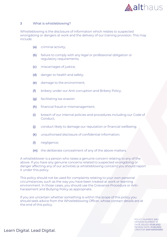

#### <span id="page-3-0"></span>3 What is whistleblowing?

Whistleblowing is the disclosure of information which relates to suspected wrongdoing or dangers at work and the delivery of our training provision. This may include:

- (a) criminal activity;
- (b) failure to comply with any legal or professional obligation or regulatory requirements;
- (c) miscarriages of justice;
- (d) danger to health and safety;
- (e) damage to the environment;
- (f) bribery under our Anti-corruption and Bribery Policy;
- (g) facilitating tax evasion
- (h) financial fraud or mismanagement;
- (i) breach of our internal policies and procedures including our Code of Conduct;
- (j) conduct likely to damage our reputation or financial wellbeing;
- (k) unauthorised disclosure of confidential information;
- (l) negligence;
- (m) the deliberate concealment of any of the above matters.

A whistleblower is a person who raises a genuine concern relating to any of the above. If you have any genuine concerns related to suspected wrongdoing or danger affecting any of our activities (a whistleblowing concern) you should report it under this policy.

This policy should not be used for complaints relating to your own personal circumstances, such as the way you have been treated at work or learning environment. In those cases, you should use the Grievance Procedure or Antiharassment and Bullying Policy as appropriate.

If you are uncertain whether something is within the scope of this policy you should seek advice from the Whistleblowing Officer, whose contact details are at the end of this policy.

> POLICY NUMBER: 2.8.2 VERSION NUMBER: V1 DATE ISSUED: 01.06.2022 REVIEW DATE: 01.06.2022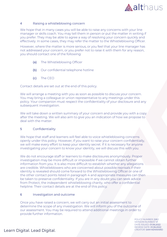

#### <span id="page-4-0"></span>4 Raising a whistleblowing concern

We hope that in many cases you will be able to raise any concerns with your line manager or skills coach. You may tell them in person or put the matter in writing if you prefer. They may be able to agree a way of resolving your concern quickly and effectively. In some cases, they may refer the matter to the Whistleblowing Officer.

However, where the matter is more serious, or you feel that your line manager has not addressed your concern, or you prefer not to raise it with them for any reason, you should contact one of the following:

- (a) The Whistleblowing Officer
- (b) Our confidential telephone hotline
- (c) The CEO

Contact details are set out at the end of this policy.

We will arrange a meeting with you as soon as possible to discuss your concern. You may bring a colleague or union representative to any meetings under this policy. Your companion must respect the confidentiality of your disclosure and any subsequent investigation.

We will take down a written summary of your concern and provide you with a copy after the meeting. We will also aim to give you an indication of how we propose to deal with the matter.

#### <span id="page-4-1"></span>5 Confidentiality

We hope that staff and learners will feel able to voice whistleblowing concerns openly under this policy. However, if you want to raise your concern confidentially, we will make every effort to keep your identity secret. If it is necessary for anyone investigating your concern to know your identity, we will discuss this with you.

We do not encourage staff or learners to make disclosures anonymously. Proper investigation may be more difficult or impossible if we cannot obtain further information from you. It is also more difficult to establish whether any allegations are credible. Whistleblowers who are concerned about possible reprisals if their identity is revealed should come forward to the Whistleblowing Officer or one of the other contact points listed in paragraph [4](#page-4-0) and appropriate measures can then be taken to preserve confidentiality. If you are in any doubt you can seek advice from Protect, the independent whistleblowing charity, who offer a confidential helpline. Their contact details are at the end of this policy.

#### <span id="page-4-2"></span>6 Investigation and outcome

Once you have raised a concern, we will carry out an initial assessment to determine the scope of any investigation. We will inform you of the outcome of our assessment. You may be required to attend additional meetings in order to provide further information.

> POLICY NUMBER: 2.8.2 VERSION NUMBER: V1 DATE ISSUED: 01.06.2022 REVIEW DATE: 01.06.2022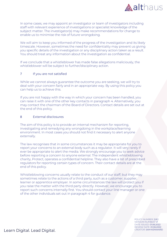

In some cases, we may appoint an investigator or team of investigators including staff with relevant experience of investigations or specialist knowledge of the subject matter. The investigator(s) may make recommendations for change to enable us to minimise the risk of future wrongdoing.

We will aim to keep you informed of the progress of the investigation and its likely timescale. However, sometimes the need for confidentiality may prevent us giving you specific details of the investigation or any disciplinary action taken as a result. You should treat any information about the investigation as confidential.

If we conclude that a whistleblower has made false allegations maliciously, the whistleblower will be subject to further/disciplinary action.

#### <span id="page-5-0"></span>7 If you are not satisfied

While we cannot always guarantee the outcome you are seeking, we will try to deal with your concern fairly and in an appropriate way. By using this policy you can help us to achieve this.

If you are not happy with the way in which your concern has been handled, you can raise it with one of the other key contacts in paragraph [4.](#page-4-0) Alternatively, you may contact the chairman of the Board of Directors. Contact details are set out at the end of this policy.

#### <span id="page-5-1"></span>8 External disclosures

The aim of this policy is to provide an internal mechanism for reporting, investigating and remedying any wrongdoing in the workplace/learning environment. In most cases you should not find it necessary to alert anyone externally.

The law recognises that in some circumstances it may be appropriate for you to report your concerns to an external body such as a regulator. It will very rarely if ever be appropriate to alert the media. We strongly encourage you to seek advice before reporting a concern to anyone external. The independent whistleblowing charity, Protect, operates a confidential helpline. They also have a list of prescribed regulators for reporting certain types of concern. Their contact details are at the end of this policy.

Whistleblowing concerns usually relate to the conduct of our staff, but they may sometimes relate to the actions of a third party, such as a customer, supplier, learner or apprentice employer. In some circumstances the law will protect you if you raise the matter with the third party directly. However, we encourage you to report such concerns internally first. You should contact your line manager or one of the other individuals set out in paragraph [4](#page-4-0) for guidance.

> POLICY NUMBER: 2.8.2 VERSION NUMBER: V1 DATE ISSUED: 01.06.2022 REVIEW DATE: 01.06.2022